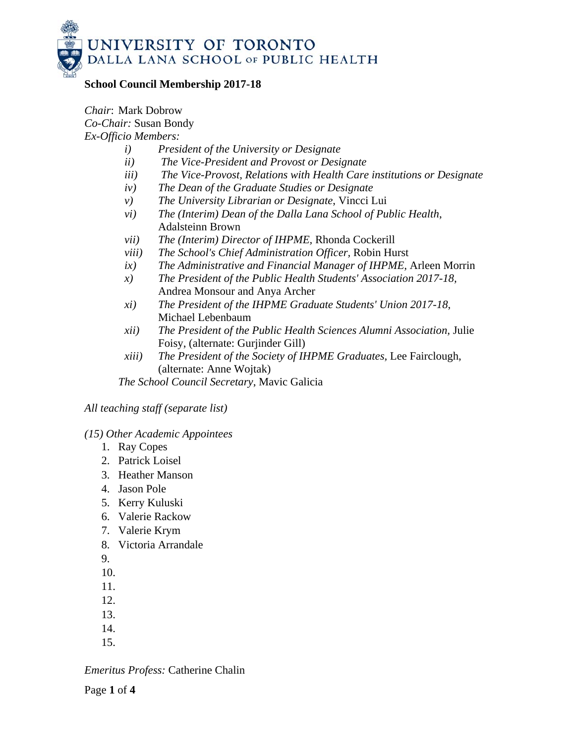

### **School Council Membership 2017-18**

*Chair*: Mark Dobrow *Co-Chair:* Susan Bondy *Ex-Officio Members:* 

- *i) President of the University or Designate*
- *ii) The Vice-President and Provost or Designate*
- *iii) The Vice-Provost, Relations with Health Care institutions or Designate*
- *iv) The Dean of the Graduate Studies or Designate*
- *v) The University Librarian or Designate*, Vincci Lui
- *vi) The (Interim) Dean of the Dalla Lana School of Public Health*, Adalsteinn Brown
- *vii) The (Interim) Director of IHPME,* Rhonda Cockerill
- *viii) The School's Chief Administration Officer,* Robin Hurst
- *ix) The Administrative and Financial Manager of IHPME,* Arleen Morrin
- *x) The President of the Public Health Students' Association 2017-18,*  Andrea Monsour and Anya Archer
- *xi) The President of the IHPME Graduate Students' Union 2017-18*, Michael Lebenbaum
- *xii) The President of the Public Health Sciences Alumni Association,* Julie Foisy, (alternate: Gurjinder Gill)
- *xiii) The President of the Society of IHPME Graduates,* Lee Fairclough, (alternate: Anne Wojtak)

*The School Council Secretary*, Mavic Galicia

*All teaching staff (separate list)* 

#### *(15) Other Academic Appointees*

- 1. Ray Copes
- 2. Patrick Loisel
- 3. Heather Manson
- 4. Jason Pole
- 5. Kerry Kuluski
- 6. Valerie Rackow
- 7. Valerie Krym
- 8. Victoria Arrandale
- 9.
- 10.
- 11.
- 12.
- 13.
- 14.
- 15.

*Emeritus Profess:* Catherine Chalin

Page **1** of **4**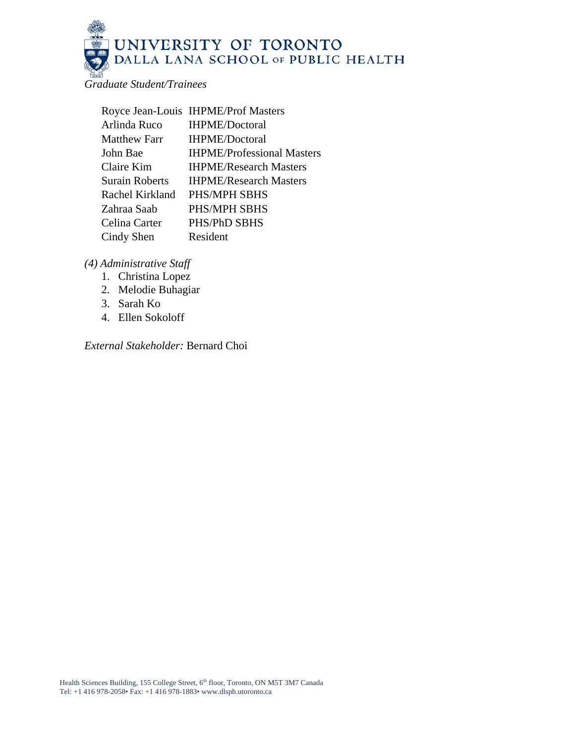

*Graduate Student/Trainees* 

|                       | Royce Jean-Louis IHPME/Prof Masters |
|-----------------------|-------------------------------------|
| Arlinda Ruco          | <b>IHPME/Doctoral</b>               |
| <b>Matthew Farr</b>   | <b>IHPME/Doctoral</b>               |
| John Bae              | <b>IHPME/Professional Masters</b>   |
| Claire Kim            | <b>IHPME/Research Masters</b>       |
| <b>Surain Roberts</b> | <b>IHPME/Research Masters</b>       |
| Rachel Kirkland       | PHS/MPH SBHS                        |
| Zahraa Saab           | PHS/MPH SBHS                        |
| Celina Carter         | PHS/PhD SBHS                        |
| Cindy Shen            | Resident                            |
|                       |                                     |

*(4) Administrative Staff* 

- 1. Christina Lopez
- 2. Melodie Buhagiar
- 3. Sarah Ko
- 4. Ellen Sokoloff

*External Stakeholder:* Bernard Choi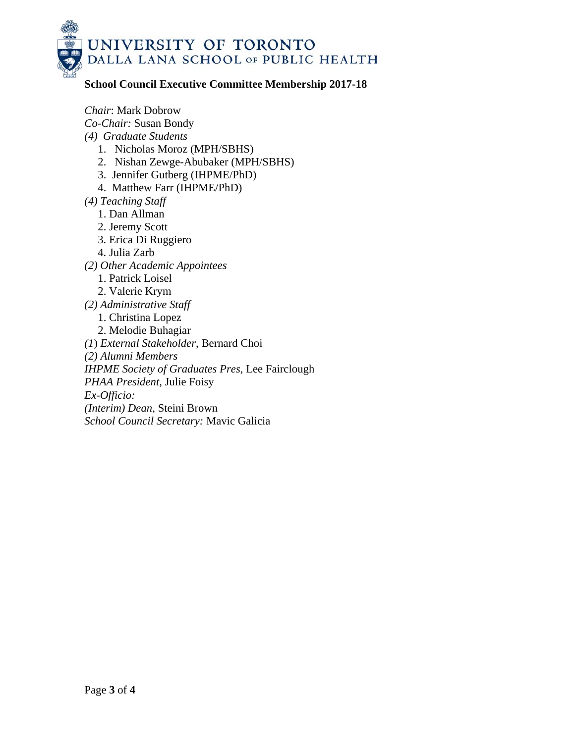

# **School Council Executive Committee Membership 2017-18**

*Chair*: Mark Dobrow *Co-Chair:* Susan Bondy *(4) Graduate Students*  1. Nicholas Moroz (MPH/SBHS) 2. Nishan Zewge-Abubaker (MPH/SBHS) 3. Jennifer Gutberg (IHPME/PhD) 4. Matthew Farr (IHPME/PhD) *(4) Teaching Staff*  1. Dan Allman 2. Jeremy Scott 3. Erica Di Ruggiero 4. Julia Zarb *(2) Other Academic Appointees*  1. Patrick Loisel 2. Valerie Krym *(2) Administrative Staff*  1. Christina Lopez 2. Melodie Buhagiar *(1*) *External Stakeholder*, Bernard Choi *(2) Alumni Members IHPME Society of Graduates Pres*, Lee Fairclough *PHAA President,* Julie Foisy *Ex-Officio: (Interim) Dean,* Steini Brown *School Council Secretary:* Mavic Galicia